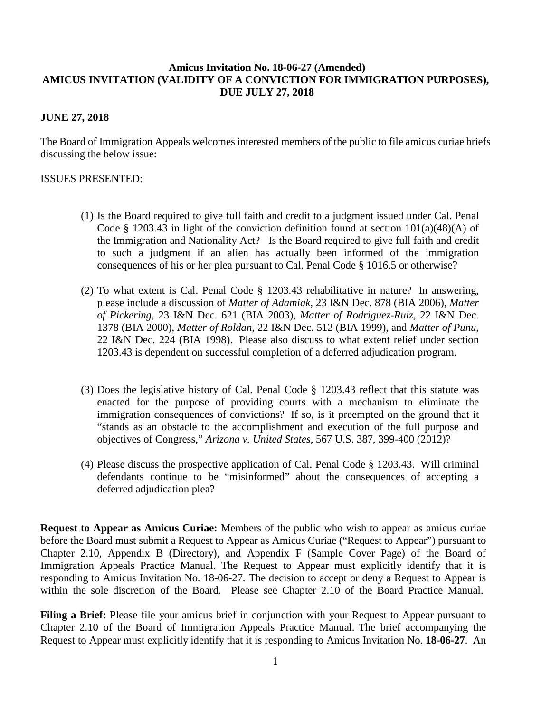## **Amicus Invitation No. 18-06-27 (Amended) AMICUS INVITATION (VALIDITY OF A CONVICTION FOR IMMIGRATION PURPOSES), DUE JULY 27, 2018**

## **JUNE 27, 2018**

The Board of Immigration Appeals welcomes interested members of the public to file amicus curiae briefs discussing the below issue:

## ISSUES PRESENTED:

- (1) Is the Board required to give full faith and credit to a judgment issued under Cal. Penal Code § 1203.43 in light of the conviction definition found at section  $101(a)(48)(A)$  of the Immigration and Nationality Act? Is the Board required to give full faith and credit to such a judgment if an alien has actually been informed of the immigration consequences of his or her plea pursuant to Cal. Penal Code § 1016.5 or otherwise?
- (2) To what extent is Cal. Penal Code § 1203.43 rehabilitative in nature? In answering, please include a discussion of *Matter of Adamiak*, 23 I&N Dec. 878 (BIA 2006), *Matter of Pickering*, 23 I&N Dec. 621 (BIA 2003), *Matter of Rodriguez-Ruiz*, 22 I&N Dec. 1378 (BIA 2000), *Matter of Roldan*, 22 I&N Dec. 512 (BIA 1999), and *Matter of Punu*, 22 I&N Dec. 224 (BIA 1998). Please also discuss to what extent relief under section 1203.43 is dependent on successful completion of a deferred adjudication program.
- (3) Does the legislative history of Cal. Penal Code § 1203.43 reflect that this statute was enacted for the purpose of providing courts with a mechanism to eliminate the immigration consequences of convictions? If so, is it preempted on the ground that it "stands as an obstacle to the accomplishment and execution of the full purpose and objectives of Congress," *Arizona v. United States*, 567 U.S. 387, 399-400 (2012)?
- (4) Please discuss the prospective application of Cal. Penal Code § 1203.43. Will criminal defendants continue to be "misinformed" about the consequences of accepting a deferred adjudication plea?

**Request to Appear as Amicus Curiae:** Members of the public who wish to appear as amicus curiae before the Board must submit a Request to Appear as Amicus Curiae ("Request to Appear") pursuant to Chapter 2.10, Appendix B (Directory), and Appendix F (Sample Cover Page) of the Board of Immigration Appeals Practice Manual. The Request to Appear must explicitly identify that it is responding to Amicus Invitation No. 18-06-27. The decision to accept or deny a Request to Appear is within the sole discretion of the Board. Please see Chapter 2.10 of the Board Practice Manual.

**Filing a Brief:** Please file your amicus brief in conjunction with your Request to Appear pursuant to Chapter 2.10 of the Board of Immigration Appeals Practice Manual. The brief accompanying the Request to Appear must explicitly identify that it is responding to Amicus Invitation No. **18-06-27**. An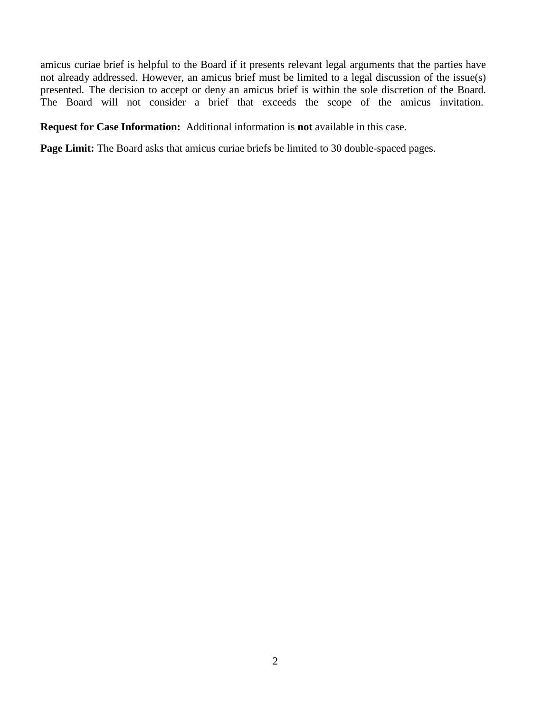amicus curiae brief is helpful to the Board if it presents relevant legal arguments that the parties have not already addressed. However, an amicus brief must be limited to a legal discussion of the issue(s) presented. The decision to accept or deny an amicus brief is within the sole discretion of the Board. The Board will not consider a brief that exceeds the scope of the amicus invitation.

**Request for Case Information:** Additional information is **not** available in this case.

Page Limit: The Board asks that amicus curiae briefs be limited to 30 double-spaced pages.